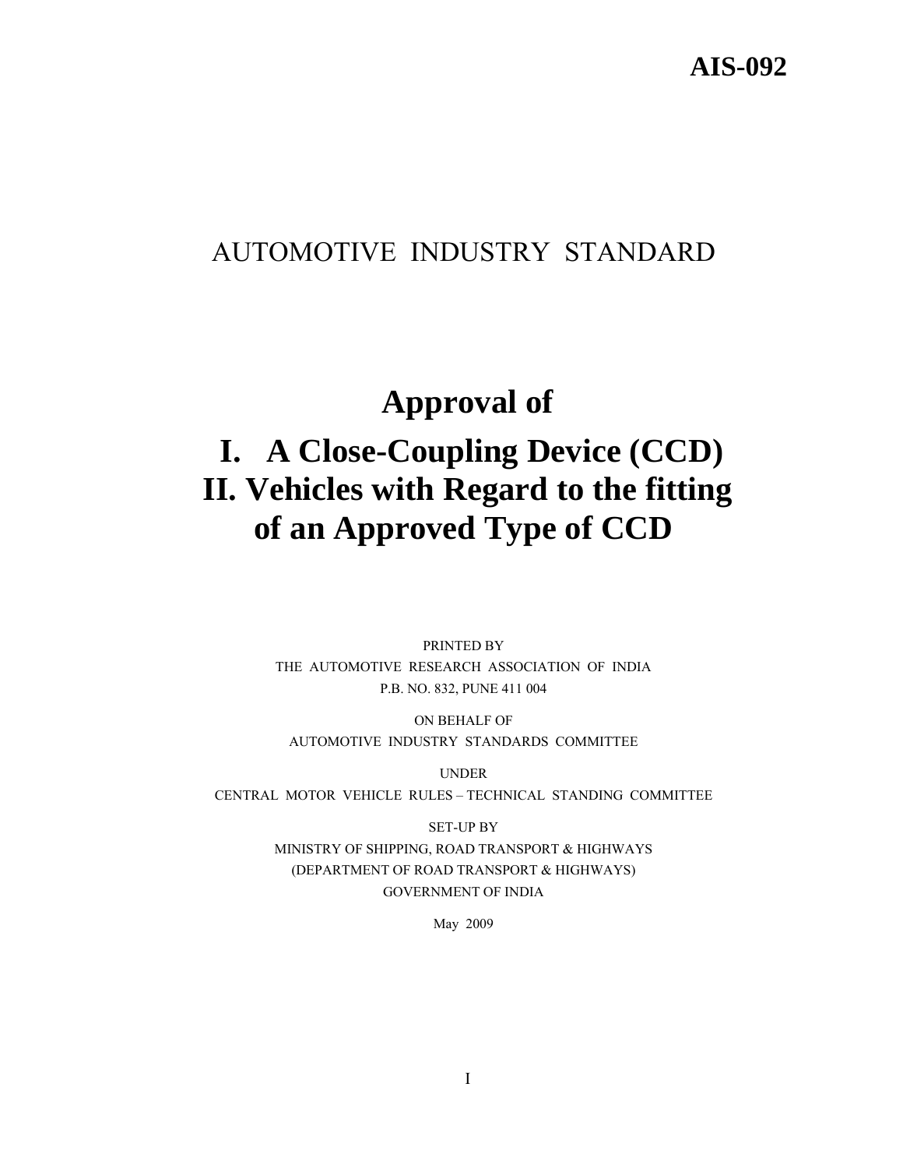# AUTOMOTIVE INDUSTRY STANDARD

# **Approval of**

# **I. A Close-Coupling Device (CCD) II. Vehicles with Regard to the fitting of an Approved Type of CCD**

PRINTED BY THE AUTOMOTIVE RESEARCH ASSOCIATION OF INDIA P.B. NO. 832, PUNE 411 004

ON BEHALF OF AUTOMOTIVE INDUSTRY STANDARDS COMMITTEE

UNDER CENTRAL MOTOR VEHICLE RULES – TECHNICAL STANDING COMMITTEE

> SET-UP BY MINISTRY OF SHIPPING, ROAD TRANSPORT & HIGHWAYS (DEPARTMENT OF ROAD TRANSPORT & HIGHWAYS) GOVERNMENT OF INDIA

> > May 2009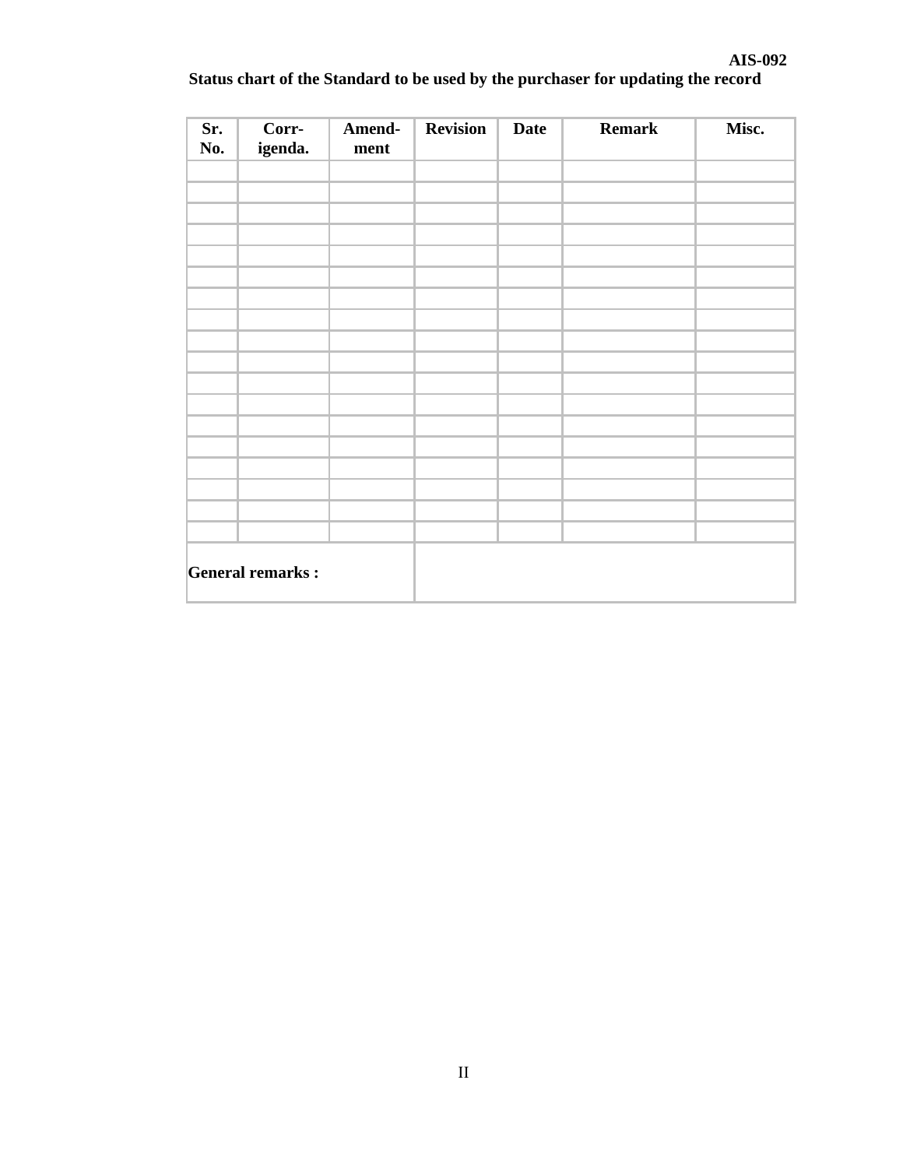| Sr.<br>No.              | Corr-<br>igenda. | Amend-<br>ment | Revision | <b>Date</b> | <b>Remark</b> | Misc. |
|-------------------------|------------------|----------------|----------|-------------|---------------|-------|
|                         |                  |                |          |             |               |       |
|                         |                  |                |          |             |               |       |
|                         |                  |                |          |             |               |       |
|                         |                  |                |          |             |               |       |
|                         |                  |                |          |             |               |       |
|                         |                  |                |          |             |               |       |
|                         |                  |                |          |             |               |       |
|                         |                  |                |          |             |               |       |
|                         |                  |                |          |             |               |       |
|                         |                  |                |          |             |               |       |
| <b>General remarks:</b> |                  |                |          |             |               |       |

# **Status chart of the Standard to be used by the purchaser for updating the record**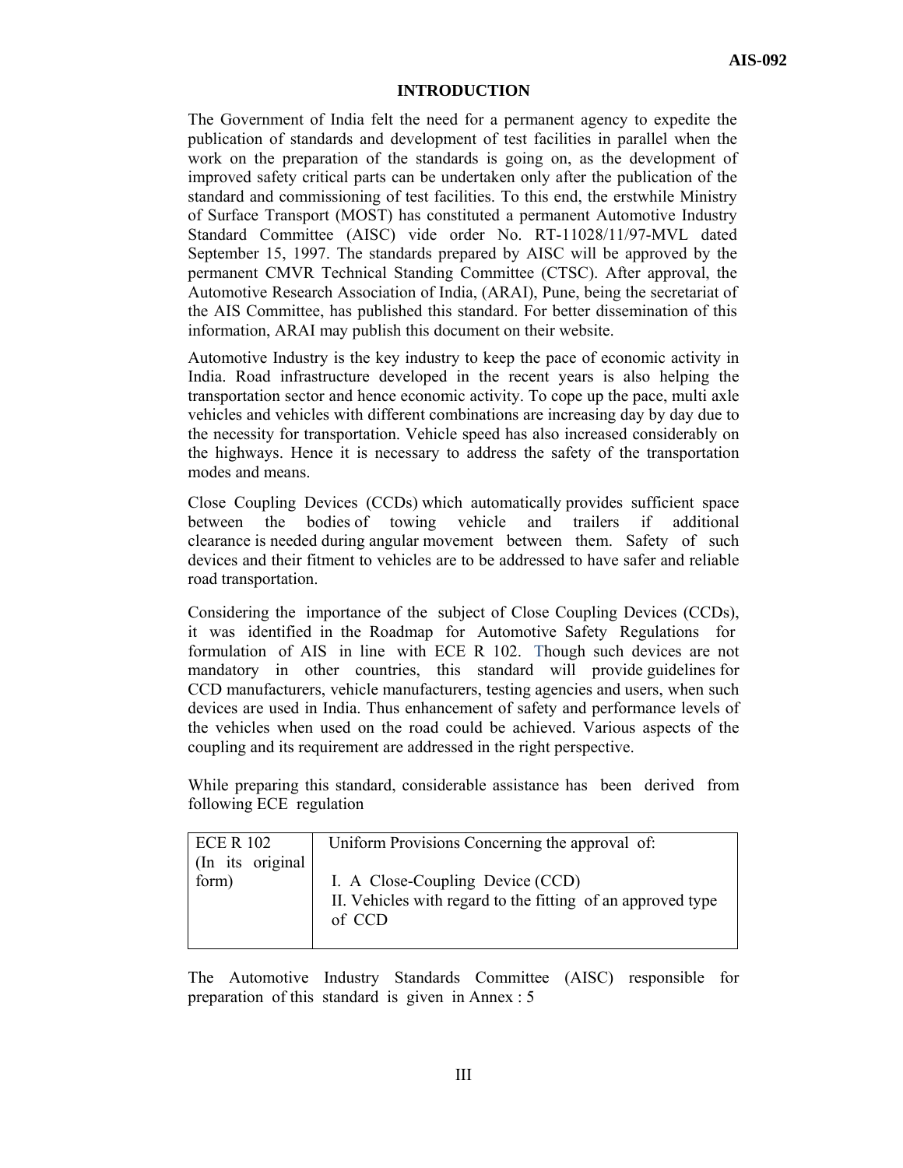#### **INTRODUCTION**

The Government of India felt the need for a permanent agency to expedite the publication of standards and development of test facilities in parallel when the work on the preparation of the standards is going on, as the development of improved safety critical parts can be undertaken only after the publication of the standard and commissioning of test facilities. To this end, the erstwhile Ministry of Surface Transport (MOST) has constituted a permanent Automotive Industry Standard Committee (AISC) vide order No. RT-11028/11/97-MVL dated September 15, 1997. The standards prepared by AISC will be approved by the permanent CMVR Technical Standing Committee (CTSC). After approval, the Automotive Research Association of India, (ARAI), Pune, being the secretariat of the AIS Committee, has published this standard. For better dissemination of this information, ARAI may publish this document on their website.

Automotive Industry is the key industry to keep the pace of economic activity in India. Road infrastructure developed in the recent years is also helping the transportation sector and hence economic activity. To cope up the pace, multi axle vehicles and vehicles with different combinations are increasing day by day due to the necessity for transportation. Vehicle speed has also increased considerably on the highways. Hence it is necessary to address the safety of the transportation modes and means.

Close Coupling Devices (CCDs) which automatically provides sufficient space between the bodies of towing vehicle and trailers if additional clearance is needed during angular movement between them. Safety of such devices and their fitment to vehicles are to be addressed to have safer and reliable road transportation.

Considering the importance of the subject of Close Coupling Devices (CCDs), it was identified in the Roadmap for Automotive Safety Regulations for formulation of AIS in line with ECE R 102.Though such devices are not mandatory in other countries, this standard will provide guidelines for CCD manufacturers, vehicle manufacturers, testing agencies and users, when such devices are used in India. Thus enhancement of safety and performance levels of the vehicles when used on the road could be achieved. Various aspects of the coupling and its requirement are addressed in the right perspective.

While preparing this standard, considerable assistance has been derived from following ECE regulation

| <b>ECE R 102</b> | Uniform Provisions Concerning the approval of:              |
|------------------|-------------------------------------------------------------|
| (In its original |                                                             |
| form)            | I. A Close-Coupling Device (CCD)                            |
|                  | II. Vehicles with regard to the fitting of an approved type |
|                  | of CCD                                                      |
|                  |                                                             |

The Automotive Industry Standards Committee (AISC) responsible for preparation of this standard is given in Annex : 5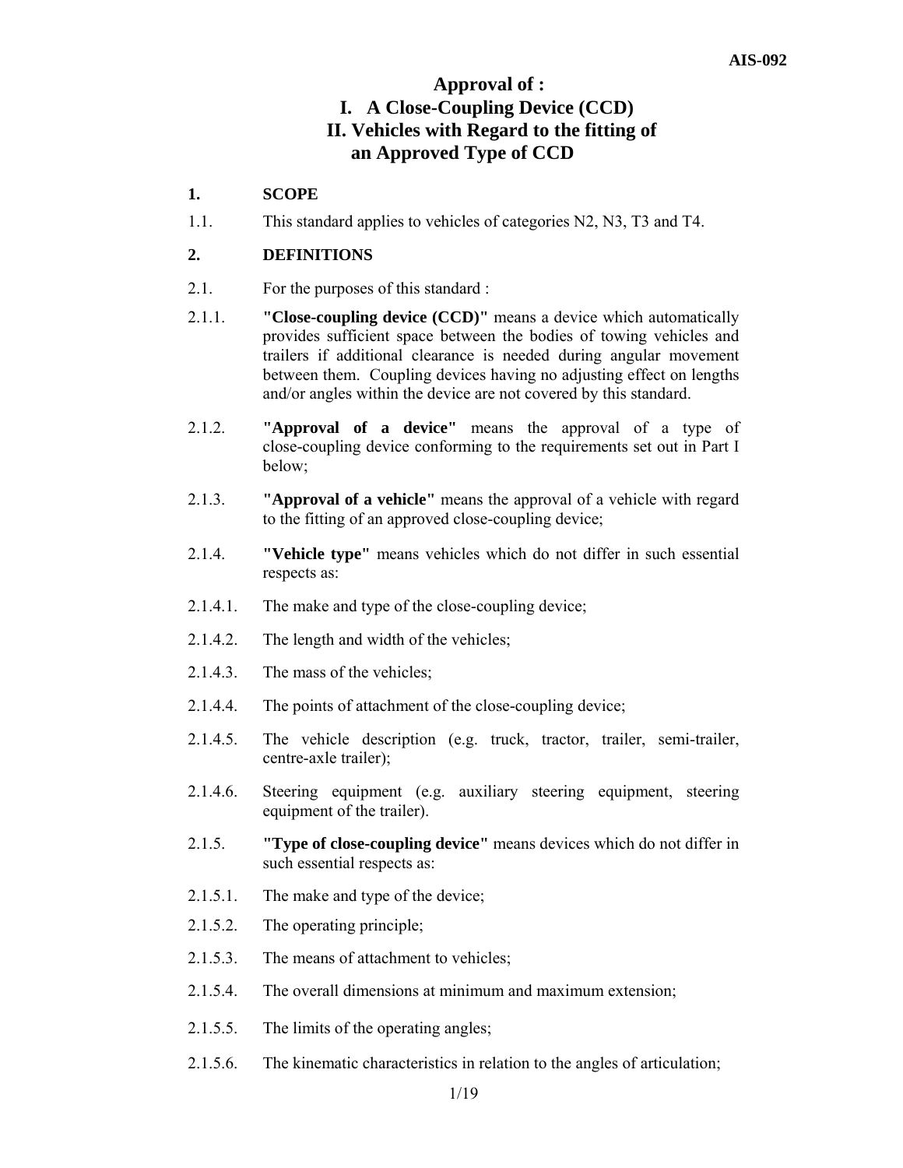# **Approval of : I. A Close-Coupling Device (CCD) II. Vehicles with Regard to the fitting of an Approved Type of CCD**

# **1. SCOPE**

1.1. This standard applies to vehicles of categories N2, N3, T3 and T4.

# **2. DEFINITIONS**

- 2.1. For the purposes of this standard :
- 2.1.1. **"Close-coupling device (CCD)"** means a device which automatically provides sufficient space between the bodies of towing vehicles and trailers if additional clearance is needed during angular movement between them. Coupling devices having no adjusting effect on lengths and/or angles within the device are not covered by this standard.
- 2.1.2. **"Approval of a device"** means the approval of a type of close-coupling device conforming to the requirements set out in Part I below;
- 2.1.3. **"Approval of a vehicle"** means the approval of a vehicle with regard to the fitting of an approved close-coupling device;
- 2.1.4. **"Vehicle type"** means vehicles which do not differ in such essential respects as:
- 2.1.4.1. The make and type of the close-coupling device;
- 2.1.4.2. The length and width of the vehicles;
- 2.1.4.3. The mass of the vehicles;
- 2.1.4.4. The points of attachment of the close-coupling device;
- 2.1.4.5. The vehicle description (e.g. truck, tractor, trailer, semi-trailer, centre-axle trailer);
- 2.1.4.6. Steering equipment (e.g. auxiliary steering equipment, steering equipment of the trailer).
- 2.1.5. **"Type of close-coupling device"** means devices which do not differ in such essential respects as:
- 2.1.5.1. The make and type of the device;
- 2.1.5.2. The operating principle;
- 2.1.5.3. The means of attachment to vehicles;
- 2.1.5.4. The overall dimensions at minimum and maximum extension;
- 2.1.5.5. The limits of the operating angles;
- 2.1.5.6. The kinematic characteristics in relation to the angles of articulation;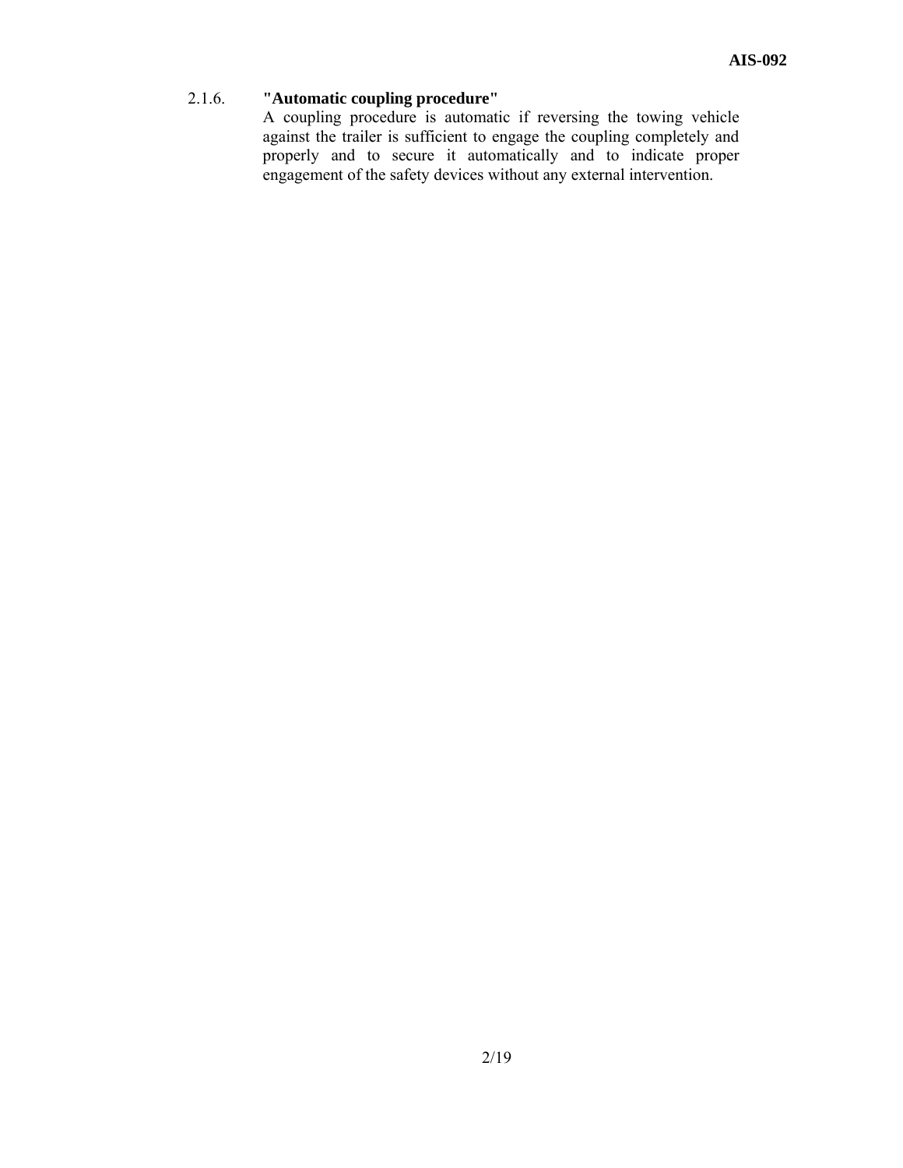# 2.1.6. **"Automatic coupling procedure"**

 A coupling procedure is automatic if reversing the towing vehicle against the trailer is sufficient to engage the coupling completely and properly and to secure it automatically and to indicate proper engagement of the safety devices without any external intervention.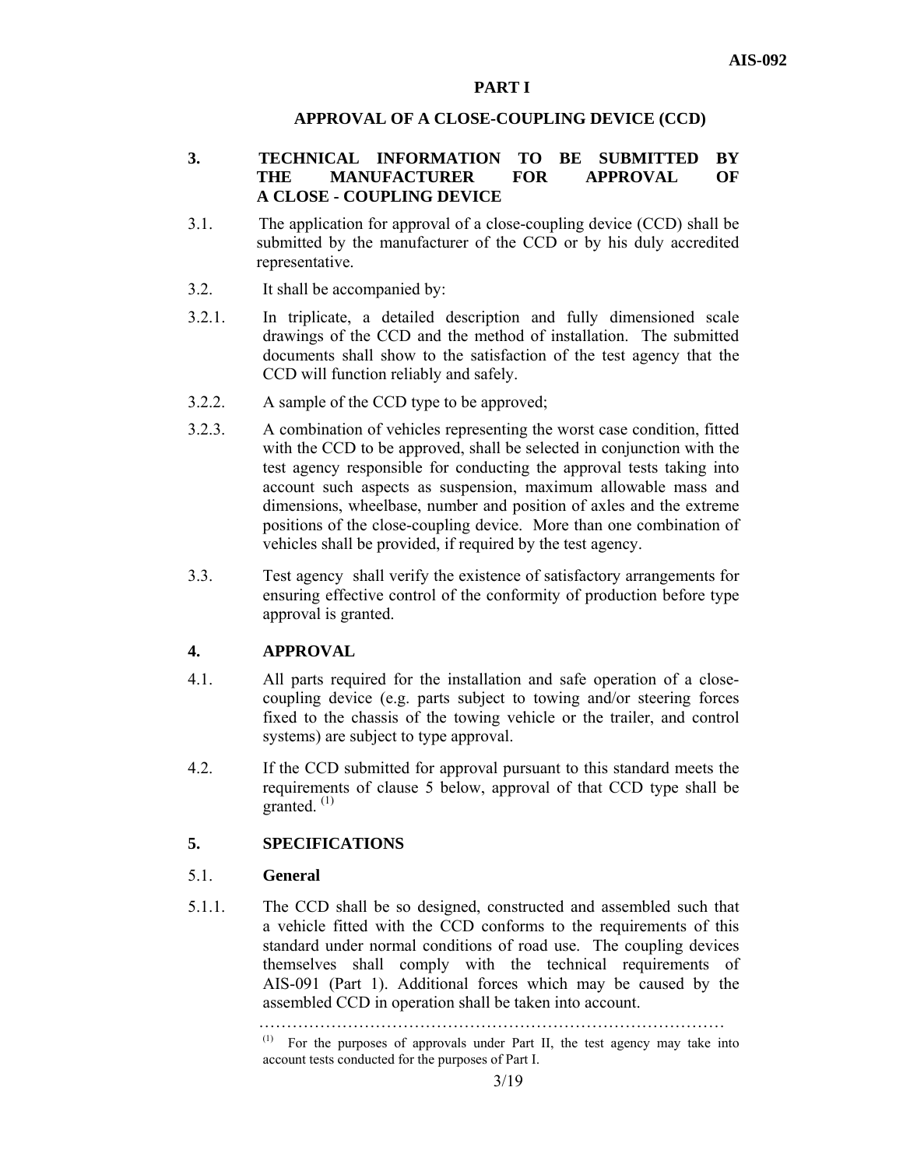#### **PART I**

#### **APPROVAL OF A CLOSE-COUPLING DEVICE (CCD)**

### **3. TECHNICAL INFORMATION TO BE SUBMITTED BY THE MANUFACTURER FOR APPROVAL OF A CLOSE - COUPLING DEVICE**

- 3.1. The application for approval of a close-coupling device (CCD) shall be submitted by the manufacturer of the CCD or by his duly accredited representative.
- 3.2. It shall be accompanied by:
- 3.2.1. In triplicate, a detailed description and fully dimensioned scale drawings of the CCD and the method of installation. The submitted documents shall show to the satisfaction of the test agency that the CCD will function reliably and safely.
- 3.2.2. A sample of the CCD type to be approved;
- 3.2.3. A combination of vehicles representing the worst case condition, fitted with the CCD to be approved, shall be selected in conjunction with the test agency responsible for conducting the approval tests taking into account such aspects as suspension, maximum allowable mass and dimensions, wheelbase, number and position of axles and the extreme positions of the close-coupling device. More than one combination of vehicles shall be provided, if required by the test agency.
- 3.3. Test agency shall verify the existence of satisfactory arrangements for ensuring effective control of the conformity of production before type approval is granted.

#### **4. APPROVAL**

- 4.1. All parts required for the installation and safe operation of a closecoupling device (e.g. parts subject to towing and/or steering forces fixed to the chassis of the towing vehicle or the trailer, and control systems) are subject to type approval.
- 4.2. If the CCD submitted for approval pursuant to this standard meets the requirements of clause 5 below, approval of that CCD type shall be granted.  $(1)$

# **5. SPECIFICATIONS**

#### 5.1. **General**

5.1.1. The CCD shall be so designed, constructed and assembled such that a vehicle fitted with the CCD conforms to the requirements of this standard under normal conditions of road use. The coupling devices themselves shall comply with the technical requirements of AIS-091 (Part 1). Additional forces which may be caused by the assembled CCD in operation shall be taken into account.

> ………………………………………………………………………… (1) For the purposes of approvals under Part II, the test agency may take into account tests conducted for the purposes of Part I.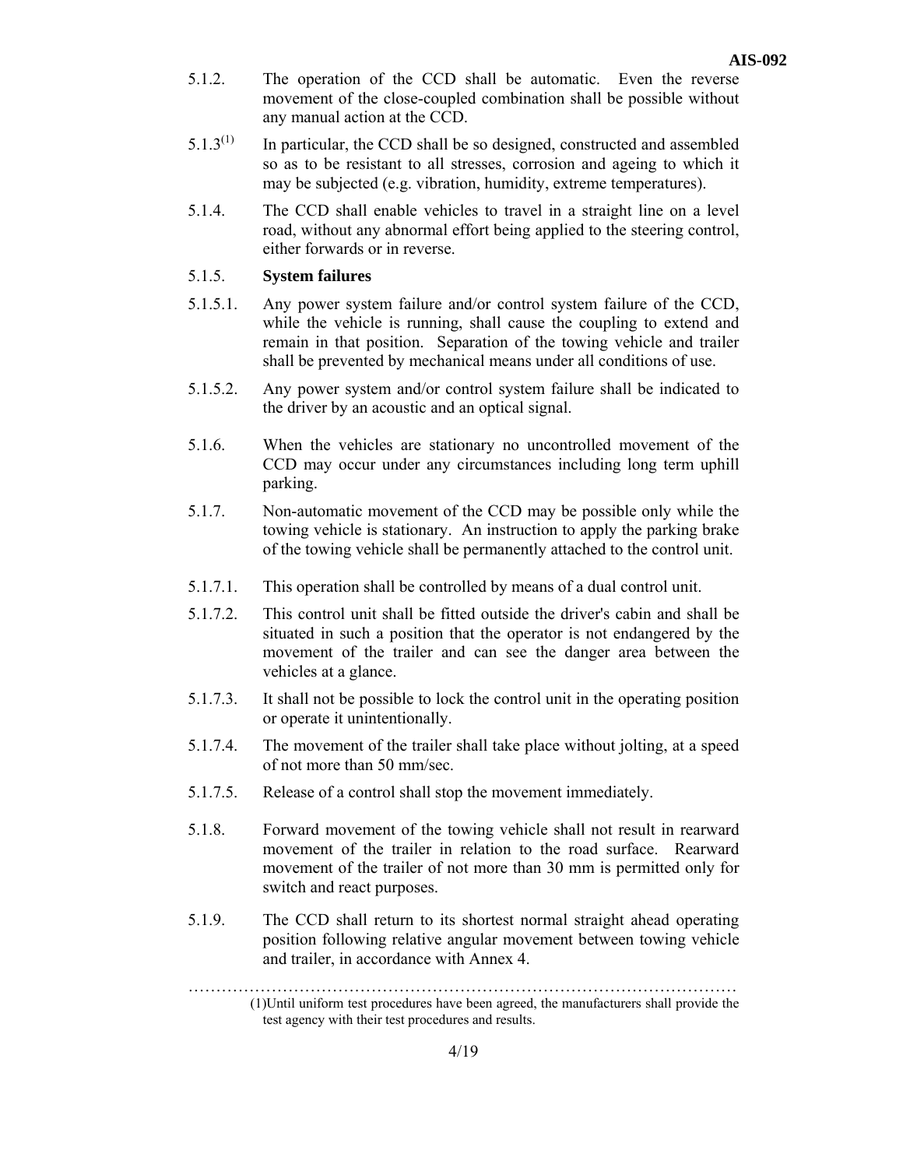- 5.1.2. The operation of the CCD shall be automatic. Even the reverse movement of the close-coupled combination shall be possible without any manual action at the CCD.
- $5.1.3<sup>(1)</sup>$  In particular, the CCD shall be so designed, constructed and assembled so as to be resistant to all stresses, corrosion and ageing to which it may be subjected (e.g. vibration, humidity, extreme temperatures).
- 5.1.4. The CCD shall enable vehicles to travel in a straight line on a level road, without any abnormal effort being applied to the steering control, either forwards or in reverse.

#### 5.1.5. **System failures**

- 5.1.5.1. Any power system failure and/or control system failure of the CCD, while the vehicle is running, shall cause the coupling to extend and remain in that position. Separation of the towing vehicle and trailer shall be prevented by mechanical means under all conditions of use.
- 5.1.5.2. Any power system and/or control system failure shall be indicated to the driver by an acoustic and an optical signal.
- 5.1.6. When the vehicles are stationary no uncontrolled movement of the CCD may occur under any circumstances including long term uphill parking.
- 5.1.7. Non-automatic movement of the CCD may be possible only while the towing vehicle is stationary. An instruction to apply the parking brake of the towing vehicle shall be permanently attached to the control unit.
- 5.1.7.1. This operation shall be controlled by means of a dual control unit.
- 5.1.7.2. This control unit shall be fitted outside the driver's cabin and shall be situated in such a position that the operator is not endangered by the movement of the trailer and can see the danger area between the vehicles at a glance.
- 5.1.7.3. It shall not be possible to lock the control unit in the operating position or operate it unintentionally.
- 5.1.7.4. The movement of the trailer shall take place without jolting, at a speed of not more than 50 mm/sec.
- 5.1.7.5. Release of a control shall stop the movement immediately.
- 5.1.8. Forward movement of the towing vehicle shall not result in rearward movement of the trailer in relation to the road surface. Rearward movement of the trailer of not more than 30 mm is permitted only for switch and react purposes.
- 5.1.9. The CCD shall return to its shortest normal straight ahead operating position following relative angular movement between towing vehicle and trailer, in accordance with Annex 4.

………………………………………………………………………………………

 <sup>(1)</sup>Until uniform test procedures have been agreed, the manufacturers shall provide the test agency with their test procedures and results.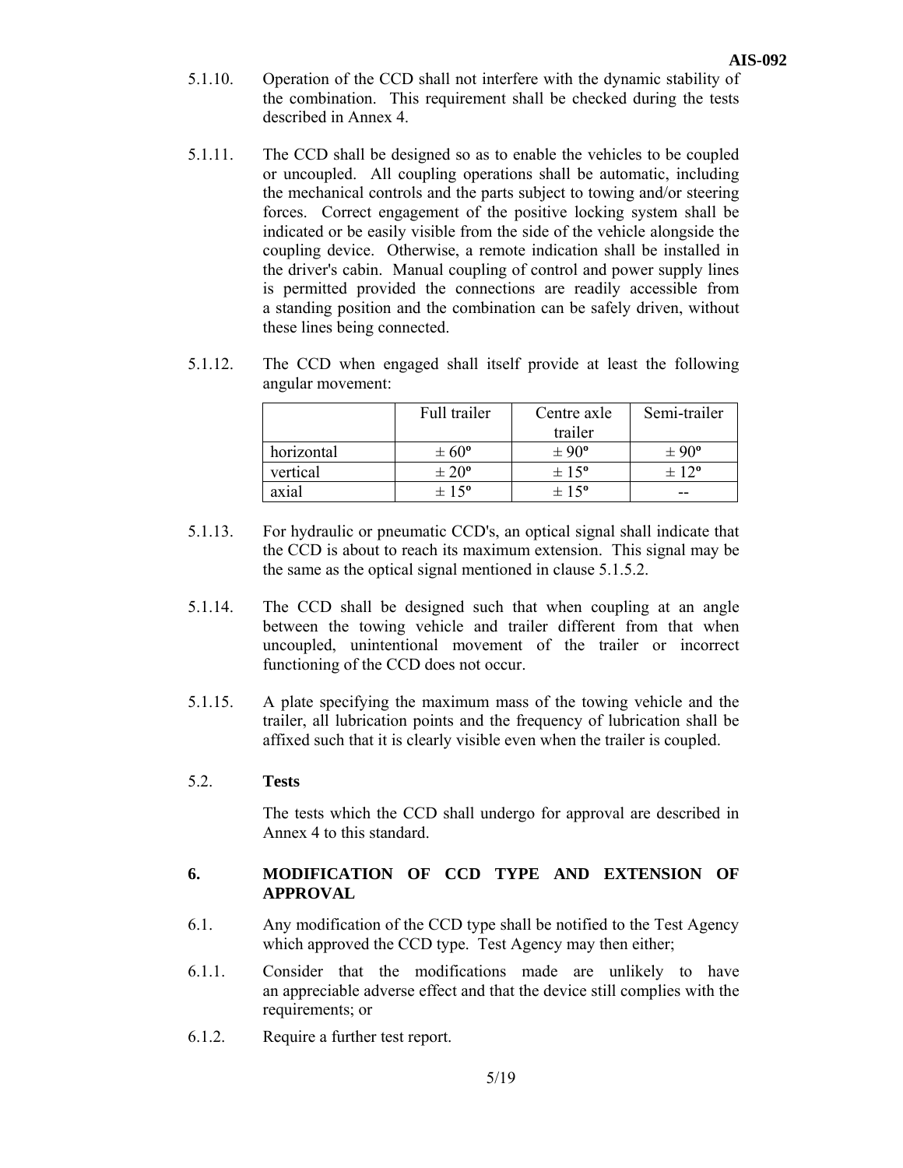- 5.1.10. Operation of the CCD shall not interfere with the dynamic stability of the combination. This requirement shall be checked during the tests described in Annex 4.
- 5.1.11. The CCD shall be designed so as to enable the vehicles to be coupled or uncoupled. All coupling operations shall be automatic, including the mechanical controls and the parts subject to towing and/or steering forces. Correct engagement of the positive locking system shall be indicated or be easily visible from the side of the vehicle alongside the coupling device. Otherwise, a remote indication shall be installed in the driver's cabin. Manual coupling of control and power supply lines is permitted provided the connections are readily accessible from a standing position and the combination can be safely driven, without these lines being connected.
- 5.1.12. The CCD when engaged shall itself provide at least the following angular movement:

|            | Full trailer     | Centre axle      | Semi-trailer          |
|------------|------------------|------------------|-----------------------|
|            |                  | trailer          |                       |
| horizontal | $\pm 60^{\circ}$ | $\pm 90^{\circ}$ | $\pm 90^{\circ}$      |
| vertical   | $\pm 20^{\circ}$ | $\pm 15^{\circ}$ | $\pm$ 12 <sup>o</sup> |
| axial      | $\pm 15^{\circ}$ | $\pm 15^{\circ}$ | --                    |

- 5.1.13. For hydraulic or pneumatic CCD's, an optical signal shall indicate that the CCD is about to reach its maximum extension. This signal may be the same as the optical signal mentioned in clause 5.1.5.2.
- 5.1.14. The CCD shall be designed such that when coupling at an angle between the towing vehicle and trailer different from that when uncoupled, unintentional movement of the trailer or incorrect functioning of the CCD does not occur.
- 5.1.15. A plate specifying the maximum mass of the towing vehicle and the trailer, all lubrication points and the frequency of lubrication shall be affixed such that it is clearly visible even when the trailer is coupled.

#### 5.2. **Tests**

 The tests which the CCD shall undergo for approval are described in Annex 4 to this standard.

# **6. MODIFICATION OF CCD TYPE AND EXTENSION OF APPROVAL**

- 6.1. Any modification of the CCD type shall be notified to the Test Agency which approved the CCD type. Test Agency may then either;
- 6.1.1. Consider that the modifications made are unlikely to have an appreciable adverse effect and that the device still complies with the requirements; or
- 6.1.2. Require a further test report.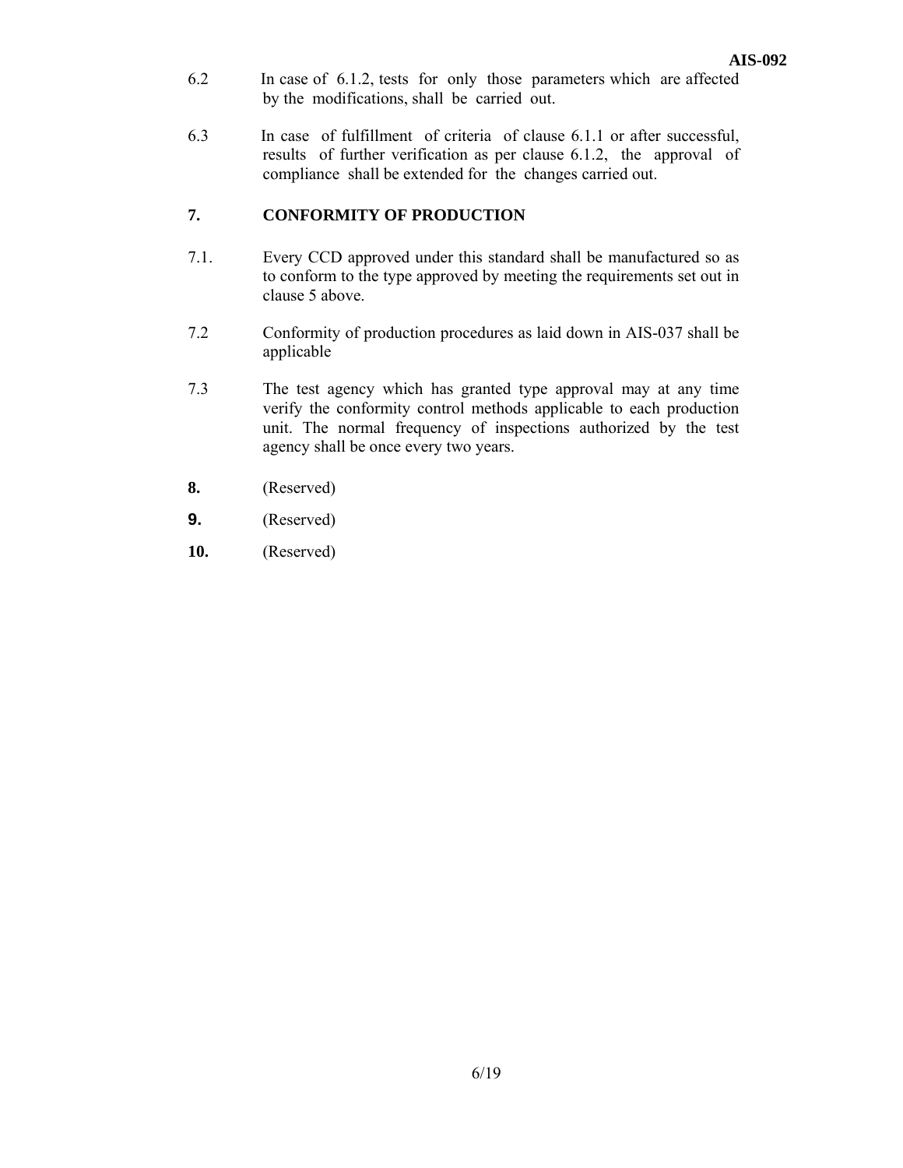- 6.2 In case of 6.1.2, tests for only those parameters which are affected by the modifications, shall be carried out.
- 6.3 In case of fulfillment of criteria of clause 6.1.1 or after successful, results of further verification as per clause 6.1.2, the approval of compliance shall be extended for the changes carried out.

# **7. CONFORMITY OF PRODUCTION**

- 7.1. Every CCD approved under this standard shall be manufactured so as to conform to the type approved by meeting the requirements set out in clause 5 above.
- 7.2 Conformity of production procedures as laid down in AIS-037 shall be applicable
- 7.3 The test agency which has granted type approval may at any time verify the conformity control methods applicable to each production unit. The normal frequency of inspections authorized by the test agency shall be once every two years.
- **8.** (Reserved)
- **9.** (Reserved)
- **10.** (Reserved)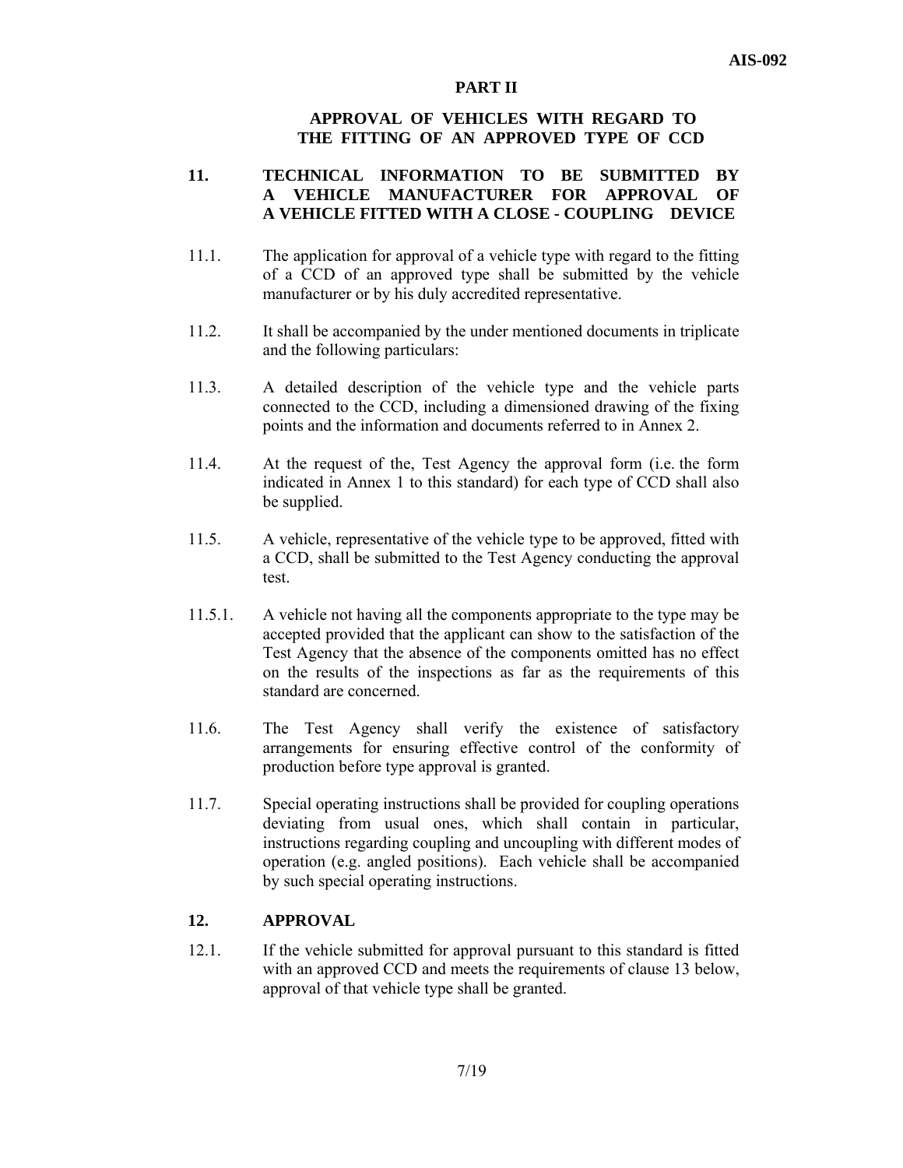#### **PART II**

#### **APPROVAL OF VEHICLES WITH REGARD TO THE FITTING OF AN APPROVED TYPE OF CCD**

#### **11. TECHNICAL INFORMATION TO BE SUBMITTED BY A VEHICLE MANUFACTURER FOR APPROVAL OF A VEHICLE FITTED WITH A CLOSE - COUPLING DEVICE**

- 11.1. The application for approval of a vehicle type with regard to the fitting of a CCD of an approved type shall be submitted by the vehicle manufacturer or by his duly accredited representative.
- 11.2. It shall be accompanied by the under mentioned documents in triplicate and the following particulars:
- 11.3. A detailed description of the vehicle type and the vehicle parts connected to the CCD, including a dimensioned drawing of the fixing points and the information and documents referred to in Annex 2.
- 11.4. At the request of the, Test Agency the approval form (i.e. the form indicated in Annex 1 to this standard) for each type of CCD shall also be supplied.
- 11.5. A vehicle, representative of the vehicle type to be approved, fitted with a CCD, shall be submitted to the Test Agency conducting the approval test.
- 11.5.1. A vehicle not having all the components appropriate to the type may be accepted provided that the applicant can show to the satisfaction of the Test Agency that the absence of the components omitted has no effect on the results of the inspections as far as the requirements of this standard are concerned.
- 11.6. The Test Agency shall verify the existence of satisfactory arrangements for ensuring effective control of the conformity of production before type approval is granted.
- 11.7. Special operating instructions shall be provided for coupling operations deviating from usual ones, which shall contain in particular, instructions regarding coupling and uncoupling with different modes of operation (e.g. angled positions). Each vehicle shall be accompanied by such special operating instructions.

# **12. APPROVAL**

12.1. If the vehicle submitted for approval pursuant to this standard is fitted with an approved CCD and meets the requirements of clause 13 below, approval of that vehicle type shall be granted.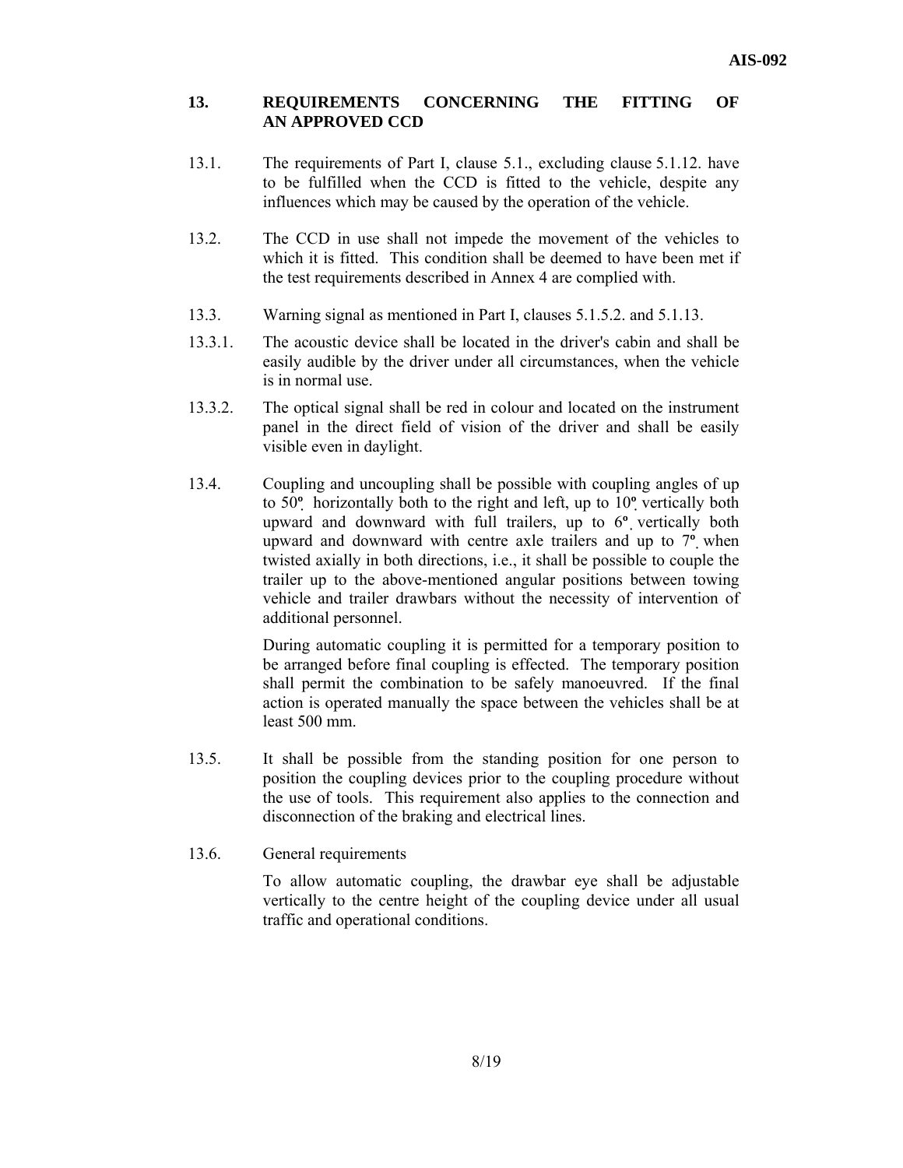#### **13. REQUIREMENTS CONCERNING THE FITTING OF AN APPROVED CCD**

- 13.1. The requirements of Part I, clause 5.1., excluding clause 5.1.12. have to be fulfilled when the CCD is fitted to the vehicle, despite any influences which may be caused by the operation of the vehicle.
- 13.2. The CCD in use shall not impede the movement of the vehicles to which it is fitted. This condition shall be deemed to have been met if the test requirements described in Annex 4 are complied with.
- 13.3. Warning signal as mentioned in Part I, clauses 5.1.5.2. and 5.1.13.
- 13.3.1. The acoustic device shall be located in the driver's cabin and shall be easily audible by the driver under all circumstances, when the vehicle is in normal use.
- 13.3.2. The optical signal shall be red in colour and located on the instrument panel in the direct field of vision of the driver and shall be easily visible even in daylight.
- 13.4. Coupling and uncoupling shall be possible with coupling angles of up to 50**º** horizontally both to the right and left, up to 10**º** vertically both upward and downward with full trailers, up to 6**º** vertically both upward and downward with centre axle trailers and up to 7**º** when twisted axially in both directions, i.e., it shall be possible to couple the trailer up to the above-mentioned angular positions between towing vehicle and trailer drawbars without the necessity of intervention of additional personnel.

 During automatic coupling it is permitted for a temporary position to be arranged before final coupling is effected. The temporary position shall permit the combination to be safely manoeuvred. If the final action is operated manually the space between the vehicles shall be at least 500 mm.

- 13.5. It shall be possible from the standing position for one person to position the coupling devices prior to the coupling procedure without the use of tools. This requirement also applies to the connection and disconnection of the braking and electrical lines.
- 13.6. General requirements

 To allow automatic coupling, the drawbar eye shall be adjustable vertically to the centre height of the coupling device under all usual traffic and operational conditions.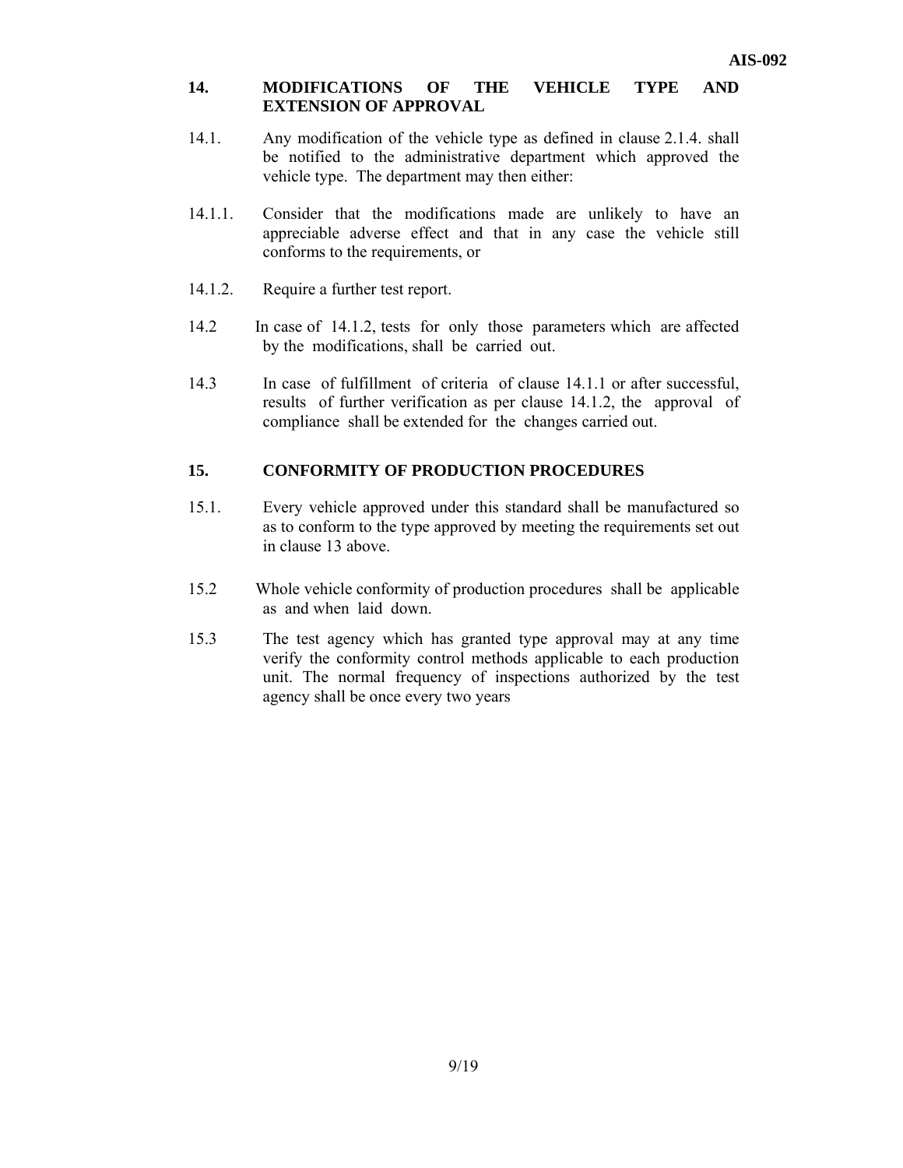## **14. MODIFICATIONS OF THE VEHICLE TYPE AND EXTENSION OF APPROVAL**

- 14.1. Any modification of the vehicle type as defined in clause 2.1.4. shall be notified to the administrative department which approved the vehicle type. The department may then either:
- 14.1.1. Consider that the modifications made are unlikely to have an appreciable adverse effect and that in any case the vehicle still conforms to the requirements, or
- 14.1.2. Require a further test report.
- 14.2 In case of 14.1.2, tests for only those parameters which are affected by the modifications, shall be carried out.
- 14.3 In case of fulfillment of criteria of clause 14.1.1 or after successful, results of further verification as per clause 14.1.2, the approval of compliance shall be extended for the changes carried out.

# **15. CONFORMITY OF PRODUCTION PROCEDURES**

- 15.1. Every vehicle approved under this standard shall be manufactured so as to conform to the type approved by meeting the requirements set out in clause 13 above.
- 15.2 Whole vehicle conformity of production procedures shall be applicable as and when laid down.
- 15.3 The test agency which has granted type approval may at any time verify the conformity control methods applicable to each production unit. The normal frequency of inspections authorized by the test agency shall be once every two years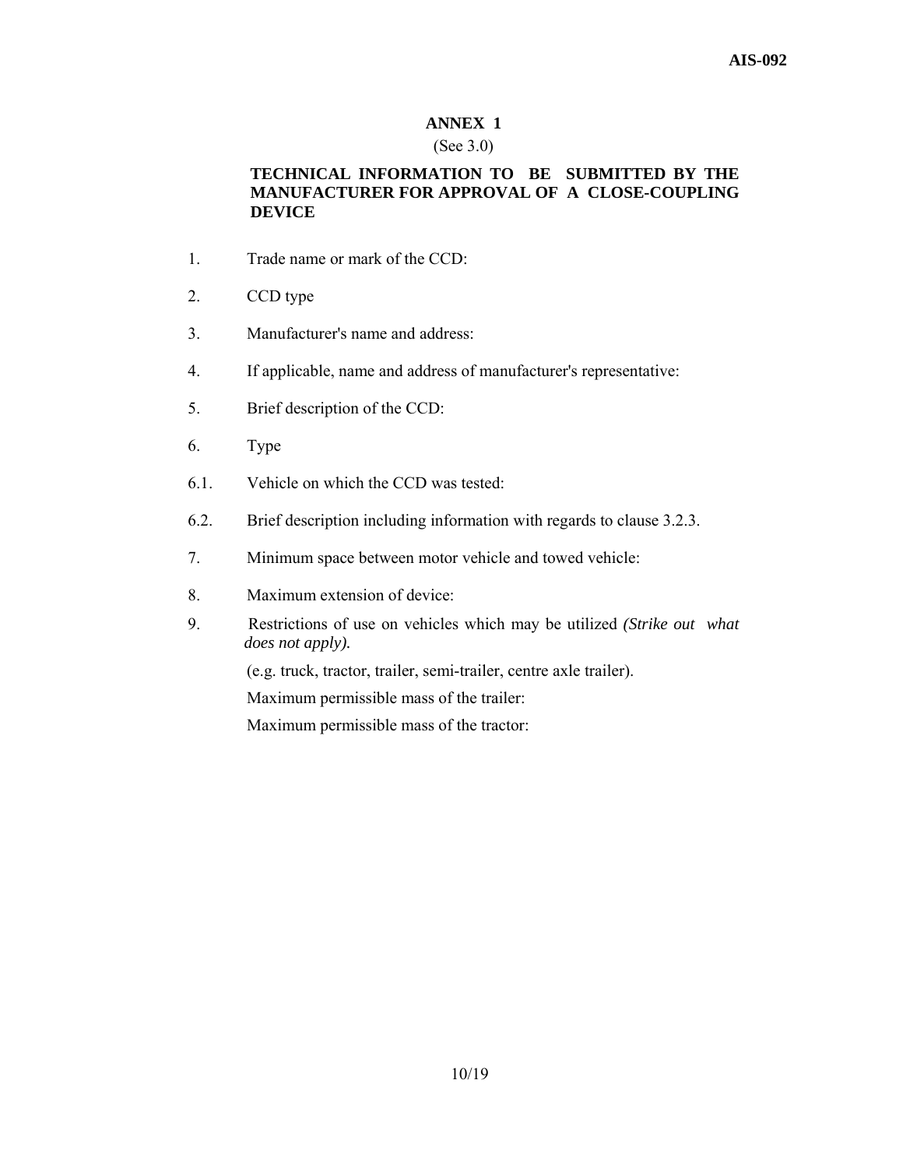# **ANNEX 1**

#### (See 3.0)

# **TECHNICAL INFORMATION TO BE SUBMITTED BY THE MANUFACTURER FOR APPROVAL OF A CLOSE-COUPLING DEVICE**

- 1. Trade name or mark of the CCD:
- 2. CCD type
- 3. Manufacturer's name and address:
- 4. If applicable, name and address of manufacturer's representative:
- 5. Brief description of the CCD:
- 6. Type
- 6.1. Vehicle on which the CCD was tested:
- 6.2. Brief description including information with regards to clause 3.2.3.
- 7. Minimum space between motor vehicle and towed vehicle:
- 8. Maximum extension of device:
- 9. Restrictions of use on vehicles which may be utilized *(Strike out what does not apply).*

(e.g. truck, tractor, trailer, semi-trailer, centre axle trailer).

Maximum permissible mass of the trailer:

Maximum permissible mass of the tractor: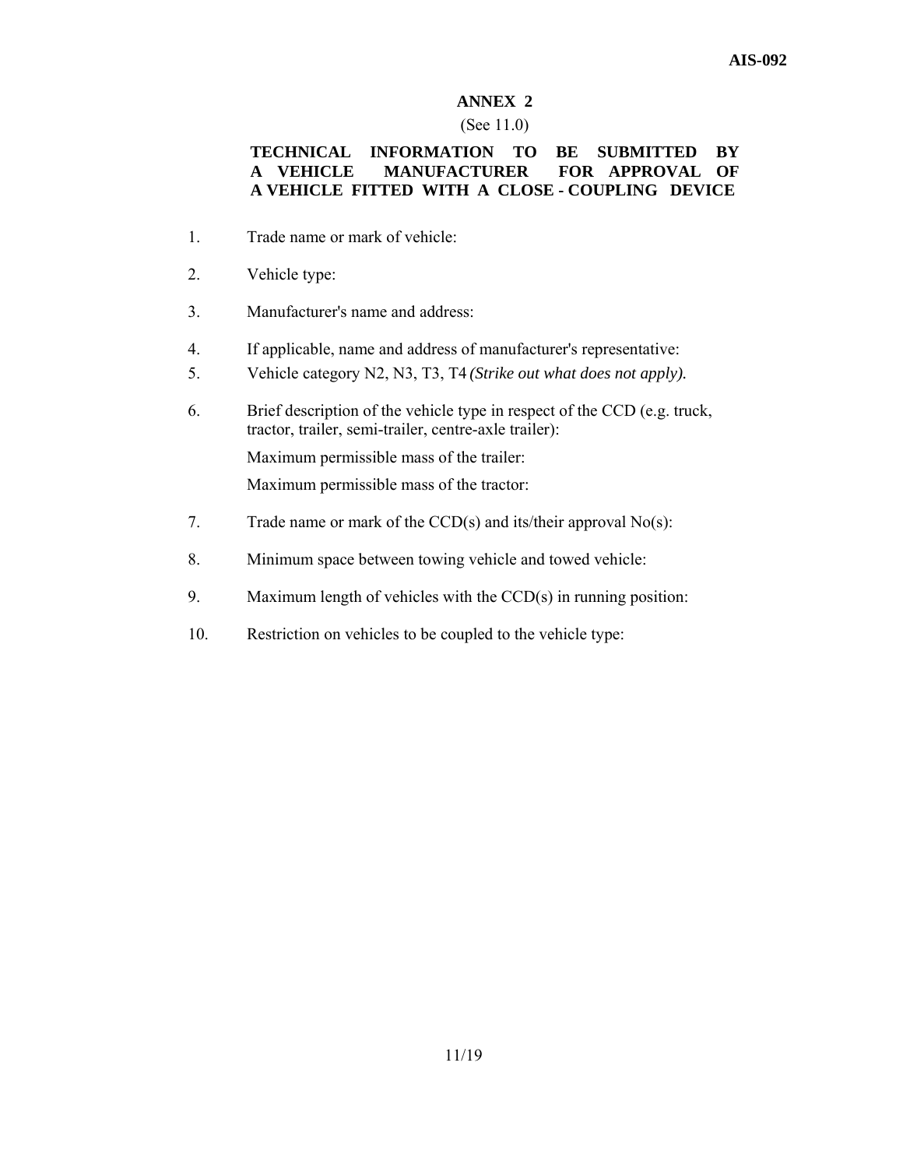# **ANNEX 2**

#### (See 11.0)

# **TECHNICAL INFORMATION TO BE SUBMITTED BY A VEHICLE MANUFACTURER FOR APPROVAL OF A VEHICLE FITTED WITH A CLOSE - COUPLING DEVICE**

- 1. Trade name or mark of vehicle:
- 2. Vehicle type:
- 3. Manufacturer's name and address:
- 4. If applicable, name and address of manufacturer's representative:
- 5. Vehicle category N2, N3, T3, T4 *(Strike out what does not apply).*
- 6. Brief description of the vehicle type in respect of the CCD (e.g. truck, tractor, trailer, semi-trailer, centre-axle trailer): Maximum permissible mass of the trailer: Maximum permissible mass of the tractor:
- 7. Trade name or mark of the CCD(s) and its/their approval No(s):
- 8. Minimum space between towing vehicle and towed vehicle:
- 9. Maximum length of vehicles with the CCD(s) in running position:
- 10. Restriction on vehicles to be coupled to the vehicle type: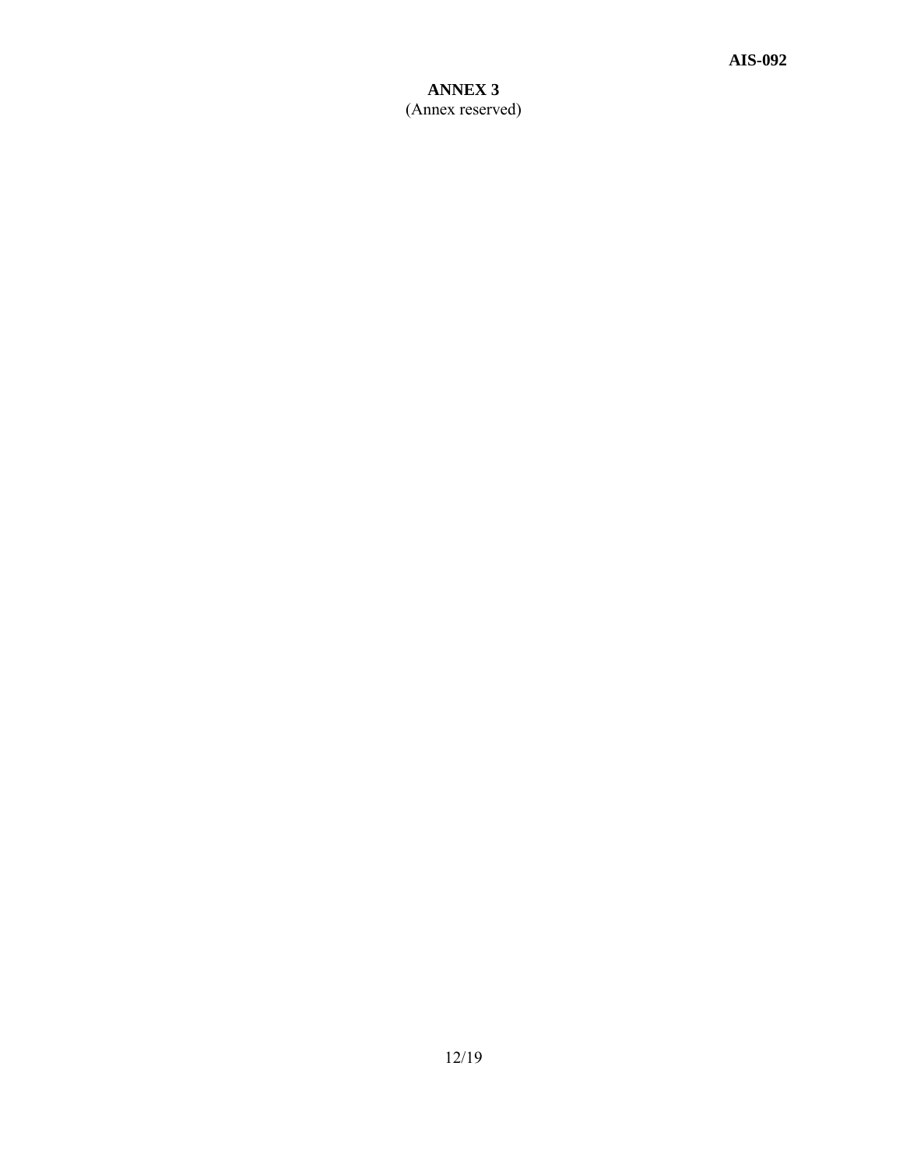# **ANNEX 3**  (Annex reserved)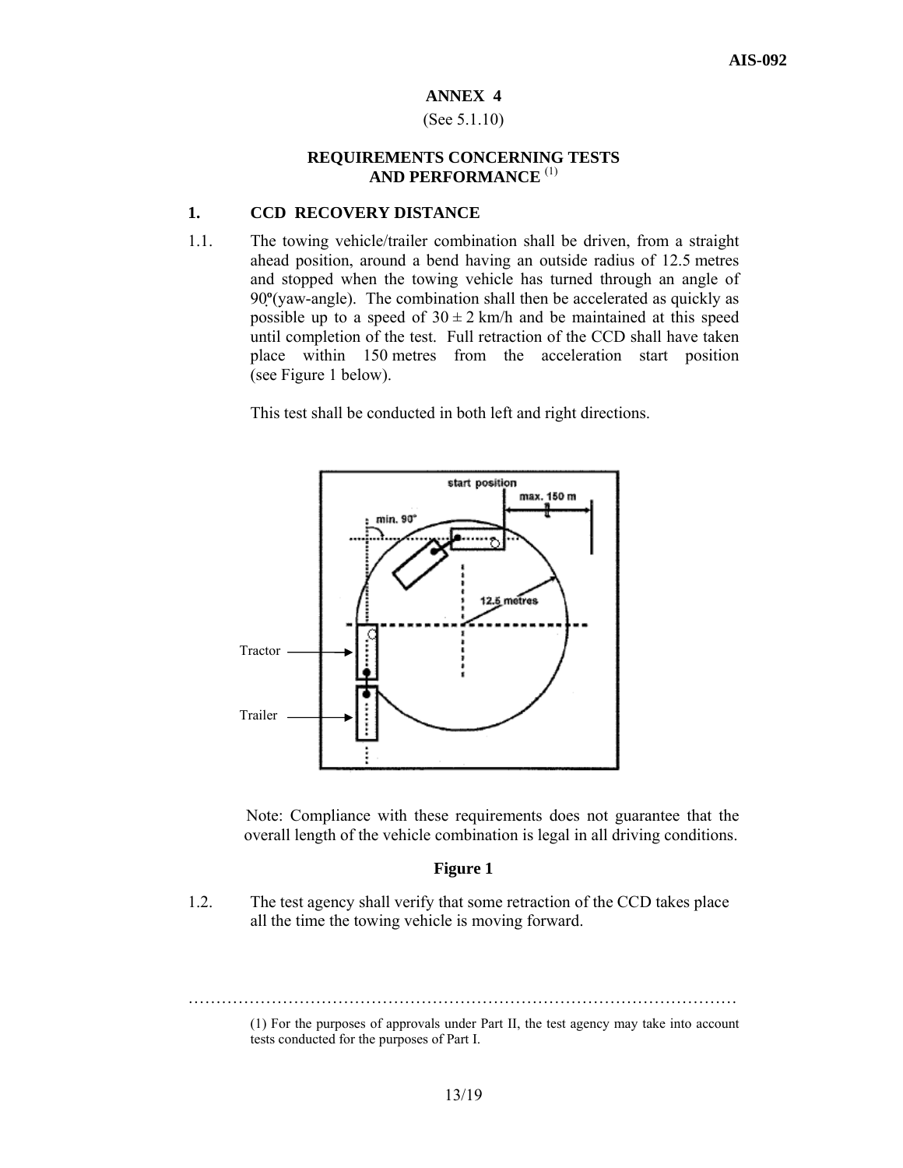#### **ANNEX 4**

#### (See 5.1.10)

#### **REQUIREMENTS CONCERNING TESTS AND PERFORMANCE** (1)

#### **1. CCD RECOVERY DISTANCE**

1.1. The towing vehicle/trailer combination shall be driven, from a straight ahead position, around a bend having an outside radius of 12.5 metres and stopped when the towing vehicle has turned through an angle of 90**º**(yaw-angle). The combination shall then be accelerated as quickly as possible up to a speed of  $30 \pm 2$  km/h and be maintained at this speed until completion of the test. Full retraction of the CCD shall have taken place within 150 metres from the acceleration start position (see Figure 1 below).

This test shall be conducted in both left and right directions.



 Note: Compliance with these requirements does not guarantee that the overall length of the vehicle combination is legal in all driving conditions.

#### **Figure 1**

1.2. The test agency shall verify that some retraction of the CCD takes place all the time the towing vehicle is moving forward.

……………………………………………………………………………………… (1) For the purposes of approvals under Part II, the test agency may take into account

tests conducted for the purposes of Part I.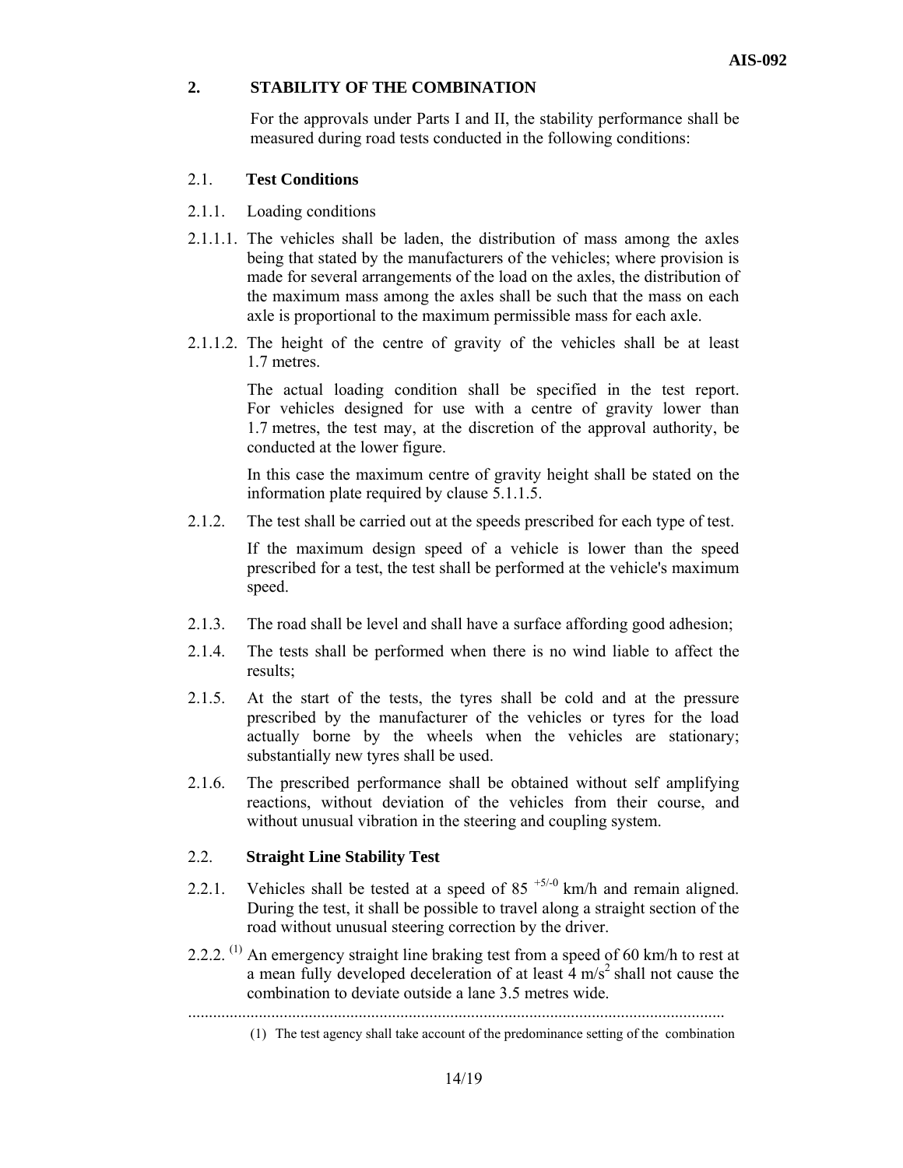#### **2. STABILITY OF THE COMBINATION**

 For the approvals under Parts I and II, the stability performance shall be measured during road tests conducted in the following conditions:

# 2.1. **Test Conditions**

- 2.1.1. Loading conditions
- 2.1.1.1. The vehicles shall be laden, the distribution of mass among the axles being that stated by the manufacturers of the vehicles; where provision is made for several arrangements of the load on the axles, the distribution of the maximum mass among the axles shall be such that the mass on each axle is proportional to the maximum permissible mass for each axle.
- 2.1.1.2. The height of the centre of gravity of the vehicles shall be at least 1.7 metres.

The actual loading condition shall be specified in the test report. For vehicles designed for use with a centre of gravity lower than 1.7 metres, the test may, at the discretion of the approval authority, be conducted at the lower figure.

In this case the maximum centre of gravity height shall be stated on the information plate required by clause 5.1.1.5.

2.1.2. The test shall be carried out at the speeds prescribed for each type of test.

If the maximum design speed of a vehicle is lower than the speed prescribed for a test, the test shall be performed at the vehicle's maximum speed.

- 2.1.3. The road shall be level and shall have a surface affording good adhesion;
- 2.1.4. The tests shall be performed when there is no wind liable to affect the results;
- 2.1.5. At the start of the tests, the tyres shall be cold and at the pressure prescribed by the manufacturer of the vehicles or tyres for the load actually borne by the wheels when the vehicles are stationary; substantially new tyres shall be used.
- 2.1.6. The prescribed performance shall be obtained without self amplifying reactions, without deviation of the vehicles from their course, and without unusual vibration in the steering and coupling system.

#### 2.2. **Straight Line Stability Test**

- 2.2.1. Vehicles shall be tested at a speed of 85<sup> $+5/-0$ </sup> km/h and remain aligned. During the test, it shall be possible to travel along a straight section of the road without unusual steering correction by the driver.
- 2.2.2.  $^{(1)}$  An emergency straight line braking test from a speed of 60 km/h to rest at a mean fully developed deceleration of at least  $\frac{4 \text{ m/s}^2}{s}$  shall not cause the combination to deviate outside a lane 3.5 metres wide.

<sup>.................................................................................................................................</sup> 

<sup>(1)</sup> The test agency shall take account of the predominance setting of the combination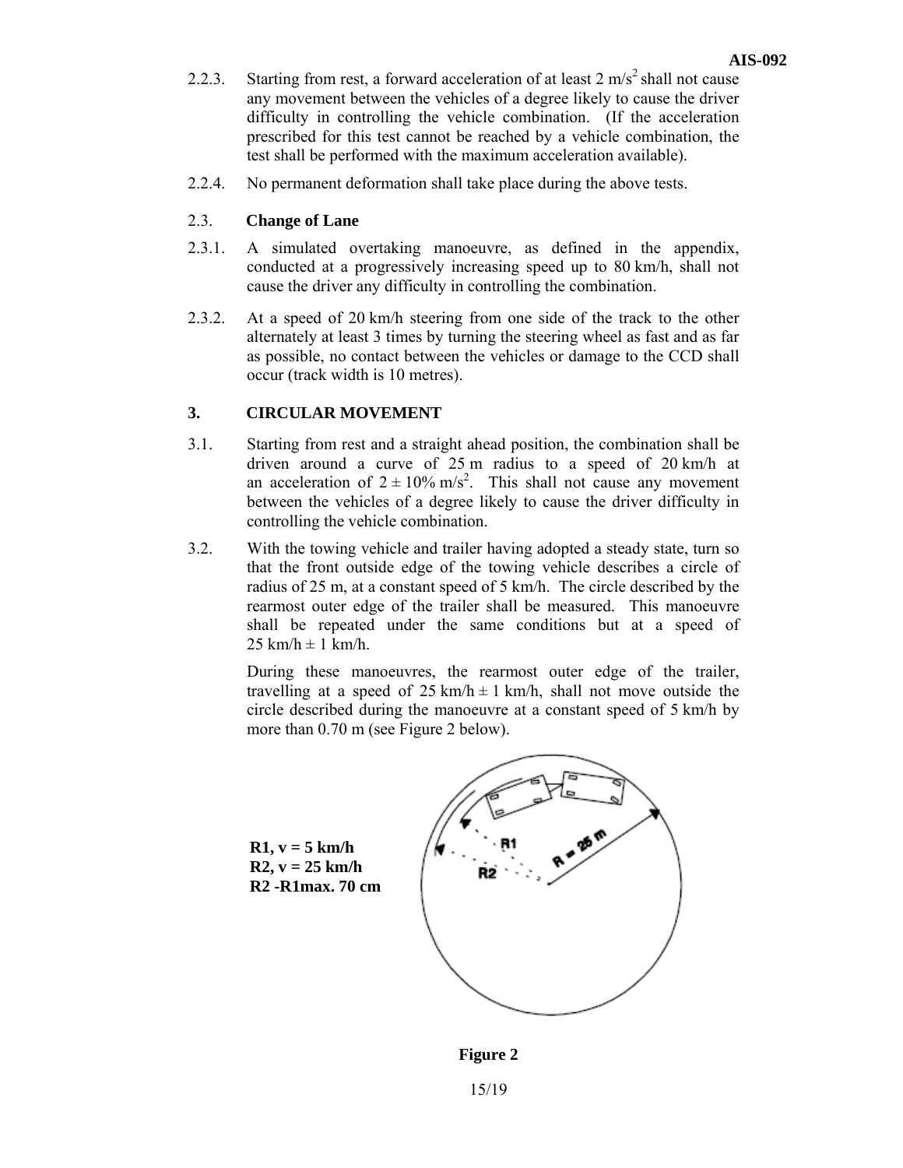- 2.2.3. Starting from rest, a forward acceleration of at least  $2 \text{ m/s}^2$  shall not cause any movement between the vehicles of a degree likely to cause the driver difficulty in controlling the vehicle combination. (If the acceleration prescribed for this test cannot be reached by a vehicle combination, the test shall be performed with the maximum acceleration available).
- 2.2.4. No permanent deformation shall take place during the above tests.

# 2.3. **Change of Lane**

- 2.3.1. A simulated overtaking manoeuvre, as defined in the appendix, conducted at a progressively increasing speed up to 80 km/h, shall not cause the driver any difficulty in controlling the combination.
- 2.3.2. At a speed of 20 km/h steering from one side of the track to the other alternately at least 3 times by turning the steering wheel as fast and as far as possible, no contact between the vehicles or damage to the CCD shall occur (track width is 10 metres).

# **3. CIRCULAR MOVEMENT**

- 3.1. Starting from rest and a straight ahead position, the combination shall be driven around a curve of 25 m radius to a speed of 20 km/h at an acceleration of  $2 \pm 10\%$  m/s<sup>2</sup>. This shall not cause any movement between the vehicles of a degree likely to cause the driver difficulty in controlling the vehicle combination.
- 3.2. With the towing vehicle and trailer having adopted a steady state, turn so that the front outside edge of the towing vehicle describes a circle of radius of 25 m, at a constant speed of 5 km/h. The circle described by the rearmost outer edge of the trailer shall be measured. This manoeuvre shall be repeated under the same conditions but at a speed of  $25 \text{ km/h} \pm 1 \text{ km/h}$ .

During these manoeuvres, the rearmost outer edge of the trailer, travelling at a speed of  $25 \text{ km/h} \pm 1 \text{ km/h}$ , shall not move outside the circle described during the manoeuvre at a constant speed of 5 km/h by more than 0.70 m (see Figure 2 below).



**Figure 2** 

15/19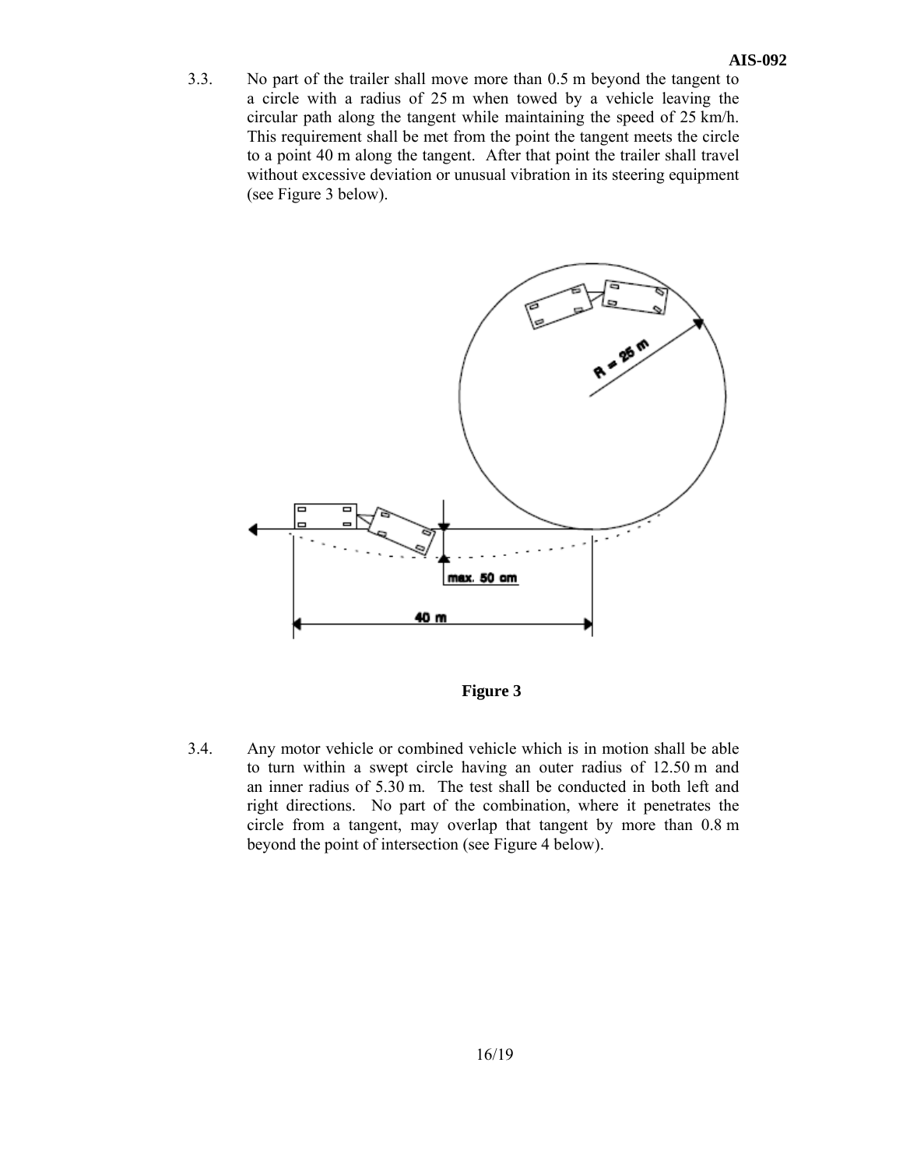3.3. No part of the trailer shall move more than 0.5 m beyond the tangent to a circle with a radius of 25 m when towed by a vehicle leaving the circular path along the tangent while maintaining the speed of 25 km/h. This requirement shall be met from the point the tangent meets the circle to a point 40 m along the tangent. After that point the trailer shall travel without excessive deviation or unusual vibration in its steering equipment (see Figure 3 below).



**Figure 3** 

3.4. Any motor vehicle or combined vehicle which is in motion shall be able to turn within a swept circle having an outer radius of 12.50 m and an inner radius of 5.30 m. The test shall be conducted in both left and right directions. No part of the combination, where it penetrates the circle from a tangent, may overlap that tangent by more than 0.8 m beyond the point of intersection (see Figure 4 below).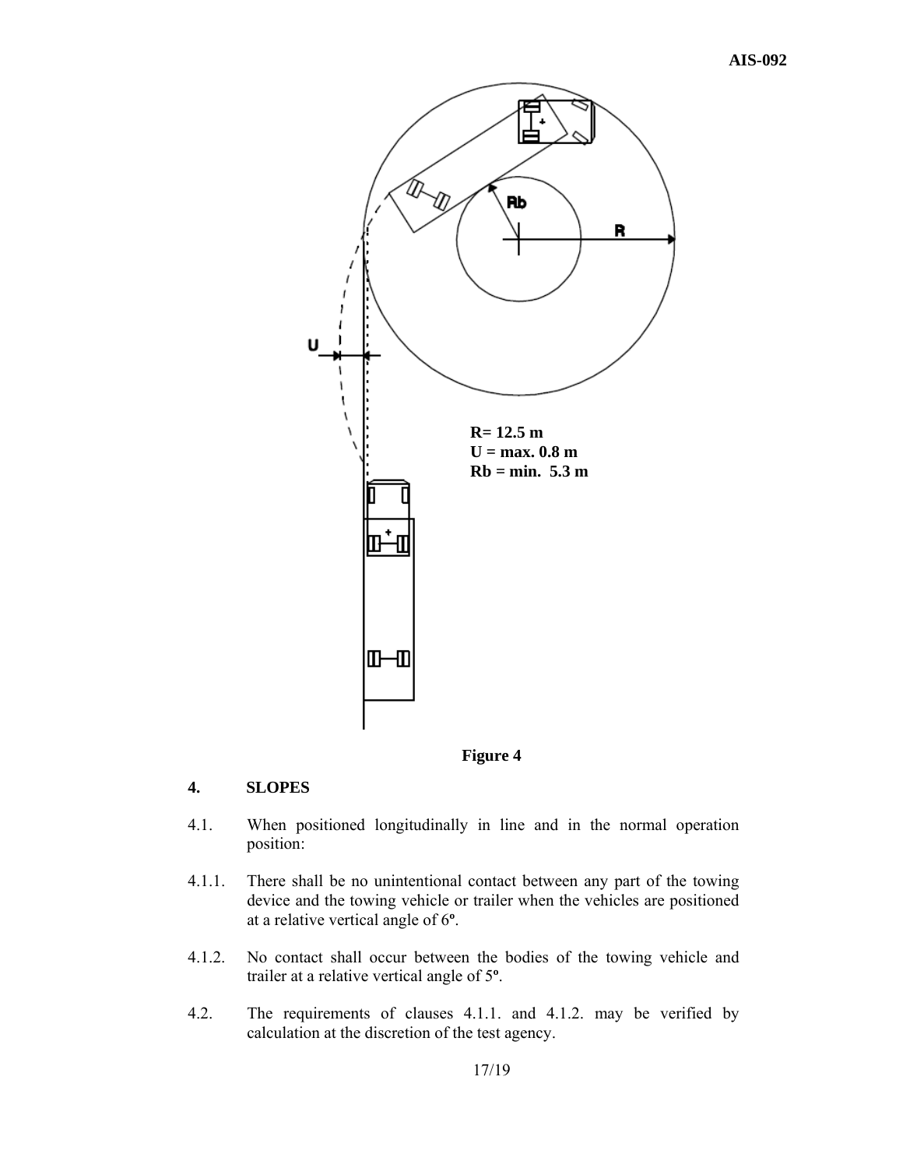

# **4. SLOPES**

- 4.1. When positioned longitudinally in line and in the normal operation position:
- 4.1.1. There shall be no unintentional contact between any part of the towing device and the towing vehicle or trailer when the vehicles are positioned at a relative vertical angle of 6**º**.
- 4.1.2. No contact shall occur between the bodies of the towing vehicle and trailer at a relative vertical angle of 5**º**.
- 4.2. The requirements of clauses 4.1.1. and 4.1.2. may be verified by calculation at the discretion of the test agency.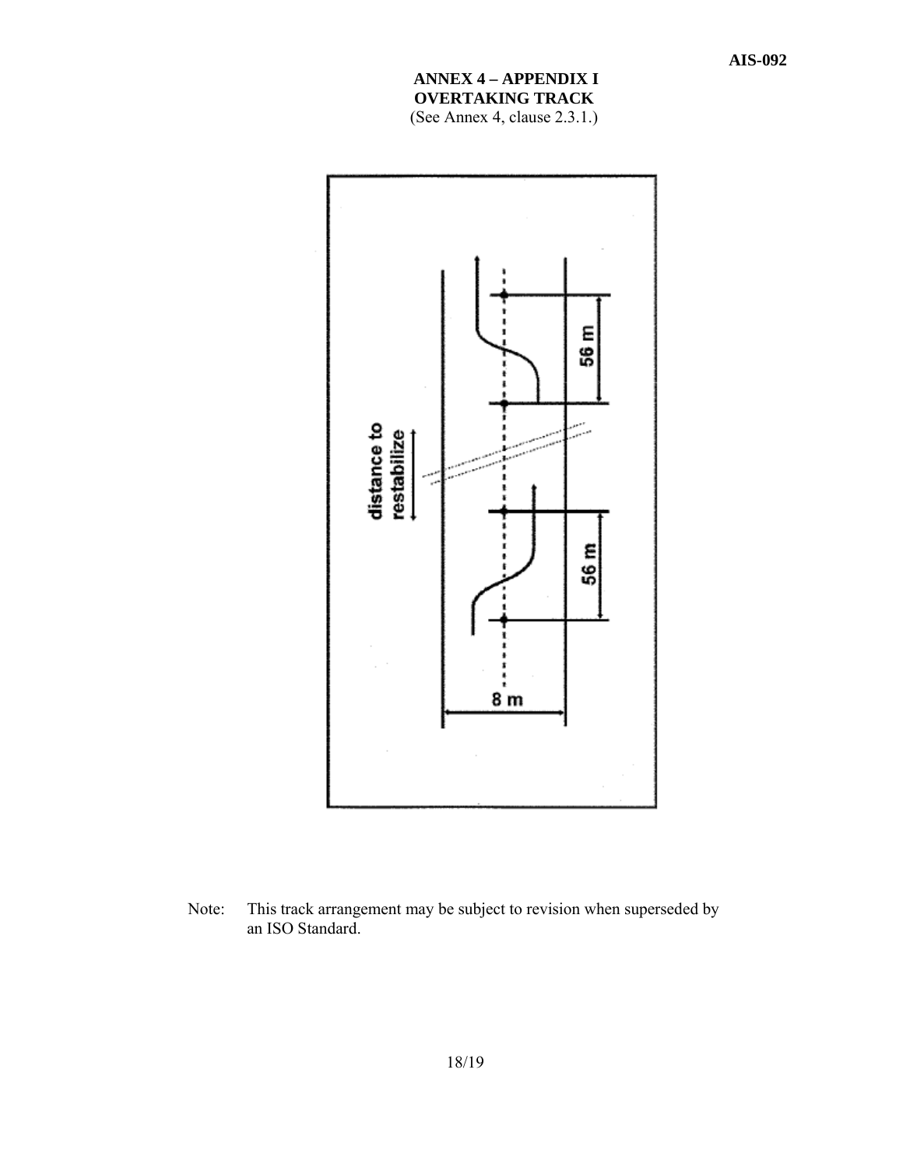# **ANNEX 4 – APPENDIX I OVERTAKING TRACK**

(See Annex 4, clause 2.3.1.)



Note: This track arrangement may be subject to revision when superseded by an ISO Standard.